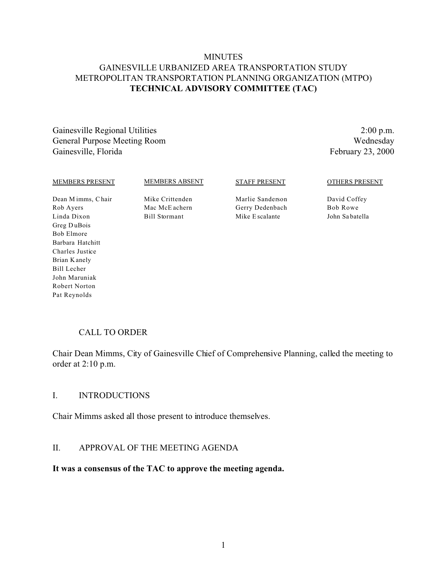# **MINUTES** GAINESVILLE URBANIZED AREA TRANSPORTATION STUDY METROPOLITAN TRANSPORTATION PLANNING ORGANIZATION (MTPO) **TECHNICAL ADVISORY COMMITTEE (TAC)**

Gainesville Regional Utilities 2:00 p.m. General Purpose Meeting Room Wednesday Gainesville, Florida February 23, 2000

#### MEMBERS PRESENT

MEMBERS ABSENT

Mike Crittenden Mac McE achern Bill Stormant

#### STAFF PRESENT

Marlie Sanderson Gerry Dedenbach Mike E scalante

OTHERS PRESENT

David Coffey Bob Rowe John Sa batella

Dean M imms, C hair Rob Ayers Linda Dixon Greg D uBois Bob Elmore Barbara Hatchitt Charles Justice Brian K anely Bill Lecher John Maruniak Robert Norton Pat Reynolds

#### CALL TO ORDER

Chair Dean Mimms, City of Gainesville Chief of Comprehensive Planning, called the meeting to order at 2:10 p.m.

#### I. INTRODUCTIONS

Chair Mimms asked all those present to introduce themselves.

#### II. APPROVAL OF THE MEETING AGENDA

#### **It was a consensus of the TAC to approve the meeting agenda.**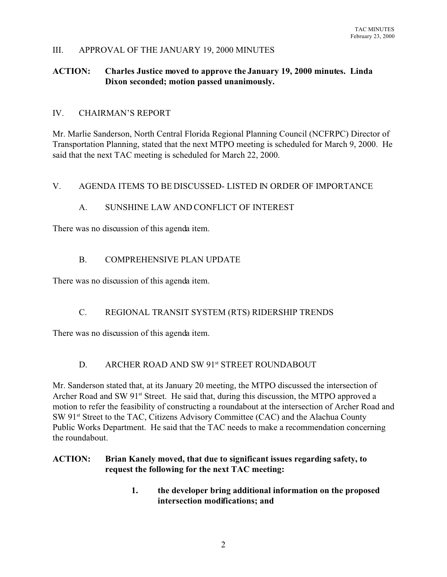#### III. APPROVAL OF THE JANUARY 19, 2000 MINUTES

## **ACTION: Charles Justice moved to approve the January 19, 2000 minutes. Linda Dixon seconded; motion passed unanimously.**

#### IV. CHAIRMAN'S REPORT

Mr. Marlie Sanderson, North Central Florida Regional Planning Council (NCFRPC) Director of Transportation Planning, stated that the next MTPO meeting is scheduled for March 9, 2000. He said that the next TAC meeting is scheduled for March 22, 2000.

#### V. AGENDA ITEMS TO BE DISCUSSED- LISTED IN ORDER OF IMPORTANCE

#### A. SUNSHINE LAW AND CONFLICT OF INTEREST

There was no discussion of this agenda item.

## B. COMPREHENSIVE PLAN UPDATE

There was no discussion of this agenda item.

## C. REGIONAL TRANSIT SYSTEM (RTS) RIDERSHIP TRENDS

There was no discussion of this agenda item.

## D. ARCHER ROAD AND SW 91st STREET ROUNDABOUT

Mr. Sanderson stated that, at its January 20 meeting, the MTPO discussed the intersection of Archer Road and SW 91<sup>st</sup> Street. He said that, during this discussion, the MTPO approved a motion to refer the feasibility of constructing a roundabout at the intersection of Archer Road and SW 91<sup>st</sup> Street to the TAC, Citizens Advisory Committee (CAC) and the Alachua County Public Works Department. He said that the TAC needs to make a recommendation concerning the roundabout.

#### **ACTION: Brian Kanely moved, that due to significant issues regarding safety, to request the following for the next TAC meeting:**

**1. the developer bring additional information on the proposed intersection modifications; and**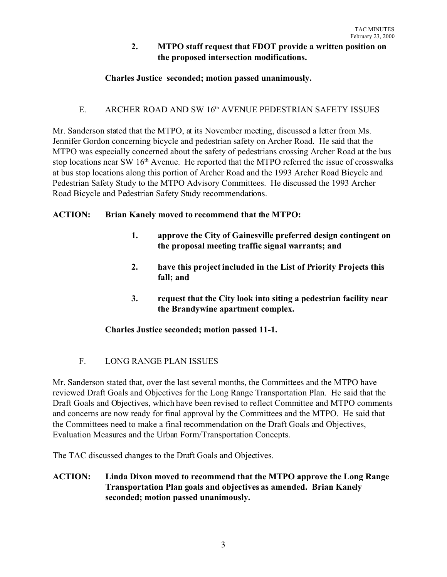## **2. MTPO staff request that FDOT provide a written position on the proposed intersection modifications.**

# **Charles Justice seconded; motion passed unanimously.**

# E. ARCHER ROAD AND SW 16<sup>th</sup> AVENUE PEDESTRIAN SAFETY ISSUES

Mr. Sanderson stated that the MTPO, at its November meeting, discussed a letter from Ms. Jennifer Gordon concerning bicycle and pedestrian safety on Archer Road. He said that the MTPO was especially concerned about the safety of pedestrians crossing Archer Road at the bus stop locations near SW 16<sup>th</sup> Avenue. He reported that the MTPO referred the issue of crosswalks at bus stop locations along this portion of Archer Road and the 1993 Archer Road Bicycle and Pedestrian Safety Study to the MTPO Advisory Committees. He discussed the 1993 Archer Road Bicycle and Pedestrian Safety Study recommendations.

## **ACTION: Brian Kanely moved to recommend that the MTPO:**

- **1. approve the City of Gainesville preferred design contingent on the proposal meeting traffic signal warrants; and**
- **2. have this project included in the List of Priority Projects this fall; and**
- **3. request that the City look into siting a pedestrian facility near the Brandywine apartment complex.**

## **Charles Justice seconded; motion passed 11-1.**

## F. LONG RANGE PLAN ISSUES

Mr. Sanderson stated that, over the last several months, the Committees and the MTPO have reviewed Draft Goals and Objectives for the Long Range Transportation Plan. He said that the Draft Goals and Objectives, which have been revised to reflect Committee and MTPO comments and concerns are now ready for final approval by the Committees and the MTPO. He said that the Committees need to make a final recommendation on the Draft Goals and Objectives, Evaluation Measures and the Urban Form/Transportation Concepts.

The TAC discussed changes to the Draft Goals and Objectives.

**ACTION: Linda Dixon moved to recommend that the MTPO approve the Long Range Transportation Plan goals and objectives as amended. Brian Kanely seconded; motion passed unanimously.**